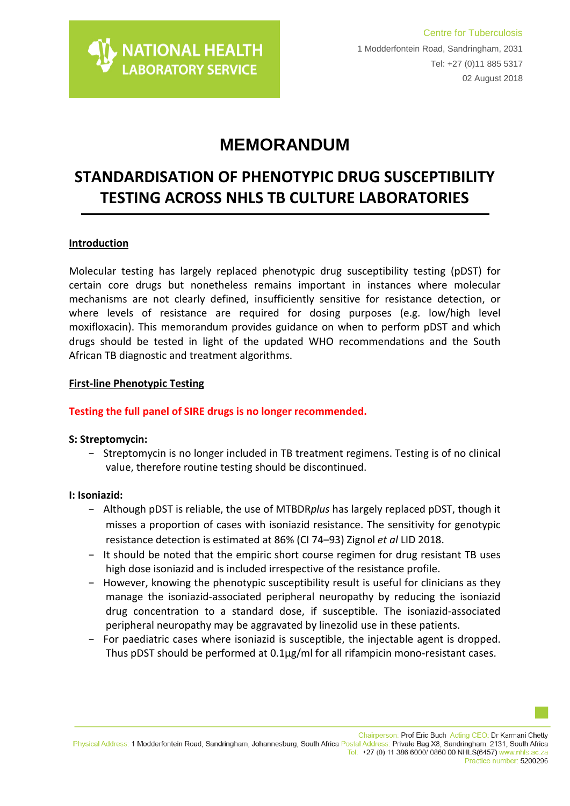# **MEMORANDUM**

# **STANDARDISATION OF PHENOTYPIC DRUG SUSCEPTIBILITY TESTING ACROSS NHLS TB CULTURE LABORATORIES**

## **Introduction**

Molecular testing has largely replaced phenotypic drug susceptibility testing (pDST) for certain core drugs but nonetheless remains important in instances where molecular mechanisms are not clearly defined, insufficiently sensitive for resistance detection, or where levels of resistance are required for dosing purposes (e.g. low/high level moxifloxacin). This memorandum provides guidance on when to perform pDST and which drugs should be tested in light of the updated WHO recommendations and the South African TB diagnostic and treatment algorithms.

## **First-line Phenotypic Testing**

## **Testing the full panel of SIRE drugs is no longer recommended.**

### **S: Streptomycin:**

− Streptomycin is no longer included in TB treatment regimens. Testing is of no clinical value, therefore routine testing should be discontinued.

### **I: Isoniazid:**

- − Although pDST is reliable, the use of MTBDR*plus* has largely replaced pDST, though it misses a proportion of cases with isoniazid resistance. The sensitivity for genotypic resistance detection is estimated at 86% (CI 74–93) Zignol *et al* LID 2018.
- − It should be noted that the empiric short course regimen for drug resistant TB uses high dose isoniazid and is included irrespective of the resistance profile.
- − However, knowing the phenotypic susceptibility result is useful for clinicians as they manage the isoniazid-associated peripheral neuropathy by reducing the isoniazid drug concentration to a standard dose, if susceptible. The isoniazid-associated peripheral neuropathy may be aggravated by linezolid use in these patients.
- − For paediatric cases where isoniazid is susceptible, the injectable agent is dropped. Thus pDST should be performed at 0.1µg/ml for all rifampicin mono-resistant cases.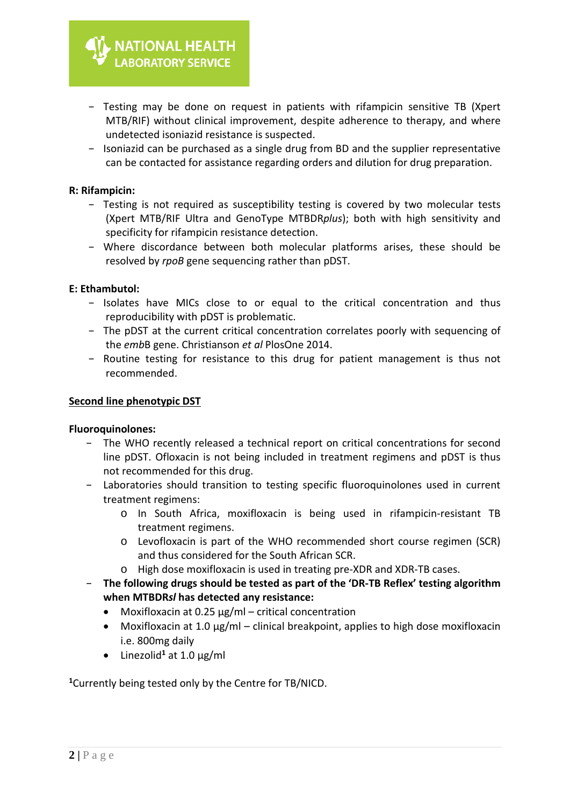- − Testing may be done on request in patients with rifampicin sensitive TB (Xpert MTB/RIF) without clinical improvement, despite adherence to therapy, and where undetected isoniazid resistance is suspected.
- − Isoniazid can be purchased as a single drug from BD and the supplier representative can be contacted for assistance regarding orders and dilution for drug preparation.

### **R: Rifampicin:**

- − Testing is not required as susceptibility testing is covered by two molecular tests (Xpert MTB/RIF Ultra and GenoType MTBDR*plus*); both with high sensitivity and specificity for rifampicin resistance detection.
- − Where discordance between both molecular platforms arises, these should be resolved by *rpoB* gene sequencing rather than pDST.

### **E: Ethambutol:**

- − Isolates have MICs close to or equal to the critical concentration and thus reproducibility with pDST is problematic.
- − The pDST at the current critical concentration correlates poorly with sequencing of the *emb*B gene. Christianson *et al* PlosOne 2014.
- − Routine testing for resistance to this drug for patient management is thus not recommended.

#### **Second line phenotypic DST**

### **Fluoroquinolones:**

- − The WHO recently released a technical report on critical concentrations for second line pDST. Ofloxacin is not being included in treatment regimens and pDST is thus not recommended for this drug.
- − Laboratories should transition to testing specific fluoroquinolones used in current treatment regimens:
	- o In South Africa, moxifloxacin is being used in rifampicin-resistant TB treatment regimens.
	- o Levofloxacin is part of the WHO recommended short course regimen (SCR) and thus considered for the South African SCR.
	- o High dose moxifloxacin is used in treating pre-XDR and XDR-TB cases.
- − **The following drugs should be tested as part of the 'DR-TB Reflex' testing algorithm when MTBDR***sl* **has detected any resistance:**
	- Moxifloxacin at 0.25  $\mu$ g/ml critical concentration
	- Moxifloxacin at 1.0  $\mu$ g/ml clinical breakpoint, applies to high dose moxifloxacin i.e. 800mg daily
	- Linezolid**<sup>1</sup>** at 1.0 µg/ml

**1**Currently being tested only by the Centre for TB/NICD.